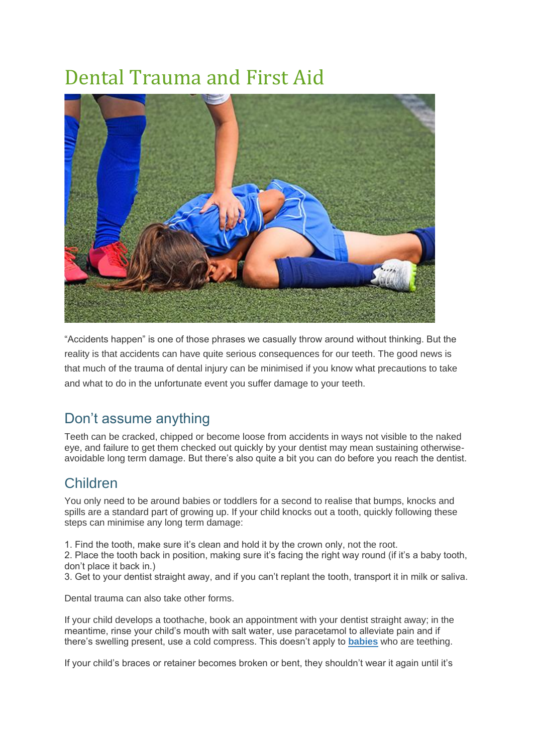## Dental Trauma and First Aid



"Accidents happen" is one of those phrases we casually throw around without thinking. But the reality is that accidents can have quite serious consequences for our teeth. The good news is that much of the trauma of dental injury can be minimised if you know what precautions to take and what to do in the unfortunate event you suffer damage to your teeth.

## Don't assume anything

Teeth can be cracked, chipped or become loose from accidents in ways not visible to the naked eye, and failure to get them checked out quickly by your dentist may mean sustaining otherwiseavoidable long term damage. But there's also quite a bit you can do before you reach the dentist.

## Children

You only need to be around babies or toddlers for a second to realise that bumps, knocks and spills are a standard part of growing up. If your child knocks out a tooth, quickly following these steps can minimise any long term damage:

1. Find the tooth, make sure it's clean and hold it by the crown only, not the root.

2. Place the tooth back in position, making sure it's facing the right way round (if it's a baby tooth, don't place it back in.)

3. Get to your dentist straight away, and if you can't replant the tooth, transport it in milk or saliva.

Dental trauma can also take other forms.

If your child develops a toothache, book an appointment with your dentist straight away; in the meantime, rinse your child's mouth with salt water, use paracetamol to alleviate pain and if there's swelling present, use a cold compress. This doesn't apply to **[babies](https://www.ada.org.au/Your-Dental-Health/Children-0-11/Babies)** who are teething.

If your child's braces or retainer becomes broken or bent, they shouldn't wear it again until it's